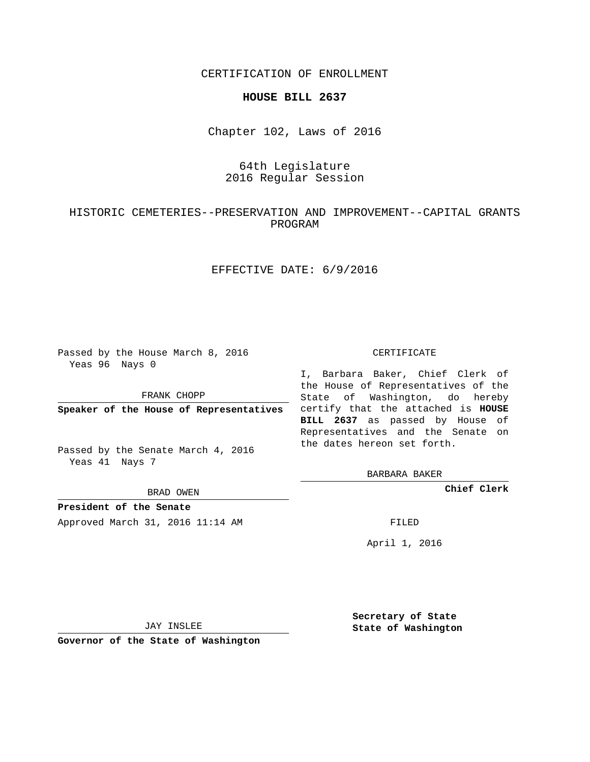CERTIFICATION OF ENROLLMENT

#### **HOUSE BILL 2637**

Chapter 102, Laws of 2016

# 64th Legislature 2016 Regular Session

## HISTORIC CEMETERIES--PRESERVATION AND IMPROVEMENT--CAPITAL GRANTS PROGRAM

## EFFECTIVE DATE: 6/9/2016

Passed by the House March 8, 2016 Yeas 96 Nays 0

FRANK CHOPP

Passed by the Senate March 4, 2016 Yeas 41 Nays 7

BRAD OWEN

**President of the Senate**

Approved March 31, 2016 11:14 AM FILED

#### CERTIFICATE

**Speaker of the House of Representatives** certify that the attached is **HOUSE** I, Barbara Baker, Chief Clerk of the House of Representatives of the State of Washington, do hereby **BILL 2637** as passed by House of Representatives and the Senate on the dates hereon set forth.

BARBARA BAKER

**Chief Clerk**

April 1, 2016

JAY INSLEE

**Governor of the State of Washington**

**Secretary of State State of Washington**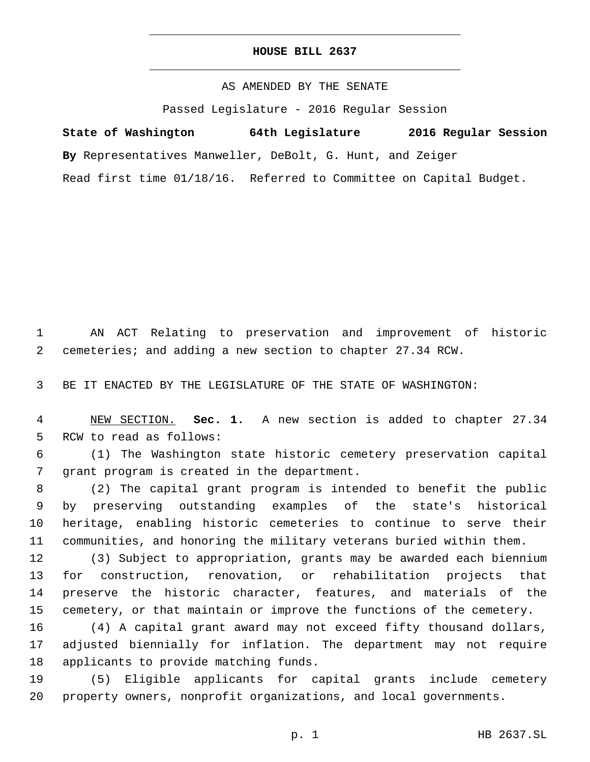### **HOUSE BILL 2637**

AS AMENDED BY THE SENATE

Passed Legislature - 2016 Regular Session

**State of Washington 64th Legislature 2016 Regular Session**

**By** Representatives Manweller, DeBolt, G. Hunt, and Zeiger

Read first time 01/18/16. Referred to Committee on Capital Budget.

 AN ACT Relating to preservation and improvement of historic cemeteries; and adding a new section to chapter 27.34 RCW.

BE IT ENACTED BY THE LEGISLATURE OF THE STATE OF WASHINGTON:

 NEW SECTION. **Sec. 1.** A new section is added to chapter 27.34 5 RCW to read as follows:

 (1) The Washington state historic cemetery preservation capital 7 grant program is created in the department.

 (2) The capital grant program is intended to benefit the public by preserving outstanding examples of the state's historical heritage, enabling historic cemeteries to continue to serve their communities, and honoring the military veterans buried within them.

 (3) Subject to appropriation, grants may be awarded each biennium for construction, renovation, or rehabilitation projects that preserve the historic character, features, and materials of the cemetery, or that maintain or improve the functions of the cemetery.

 (4) A capital grant award may not exceed fifty thousand dollars, adjusted biennially for inflation. The department may not require 18 applicants to provide matching funds.

 (5) Eligible applicants for capital grants include cemetery property owners, nonprofit organizations, and local governments.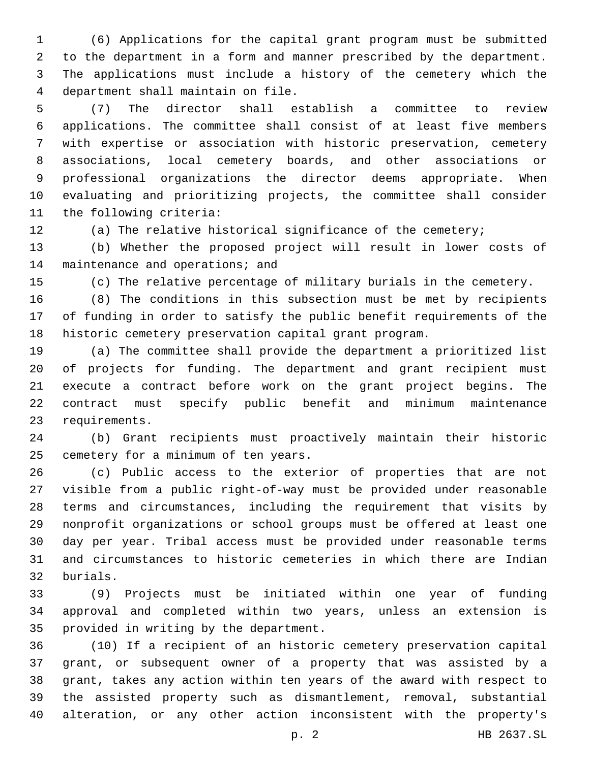(6) Applications for the capital grant program must be submitted to the department in a form and manner prescribed by the department. The applications must include a history of the cemetery which the department shall maintain on file.4

 (7) The director shall establish a committee to review applications. The committee shall consist of at least five members with expertise or association with historic preservation, cemetery associations, local cemetery boards, and other associations or professional organizations the director deems appropriate. When evaluating and prioritizing projects, the committee shall consider 11 the following criteria:

(a) The relative historical significance of the cemetery;

 (b) Whether the proposed project will result in lower costs of 14 maintenance and operations; and

(c) The relative percentage of military burials in the cemetery.

 (8) The conditions in this subsection must be met by recipients of funding in order to satisfy the public benefit requirements of the historic cemetery preservation capital grant program.

 (a) The committee shall provide the department a prioritized list of projects for funding. The department and grant recipient must execute a contract before work on the grant project begins. The contract must specify public benefit and minimum maintenance 23 requirements.

 (b) Grant recipients must proactively maintain their historic 25 cemetery for a minimum of ten years.

 (c) Public access to the exterior of properties that are not visible from a public right-of-way must be provided under reasonable terms and circumstances, including the requirement that visits by nonprofit organizations or school groups must be offered at least one day per year. Tribal access must be provided under reasonable terms and circumstances to historic cemeteries in which there are Indian burials.32

 (9) Projects must be initiated within one year of funding approval and completed within two years, unless an extension is 35 provided in writing by the department.

 (10) If a recipient of an historic cemetery preservation capital grant, or subsequent owner of a property that was assisted by a grant, takes any action within ten years of the award with respect to the assisted property such as dismantlement, removal, substantial alteration, or any other action inconsistent with the property's

p. 2 HB 2637.SL